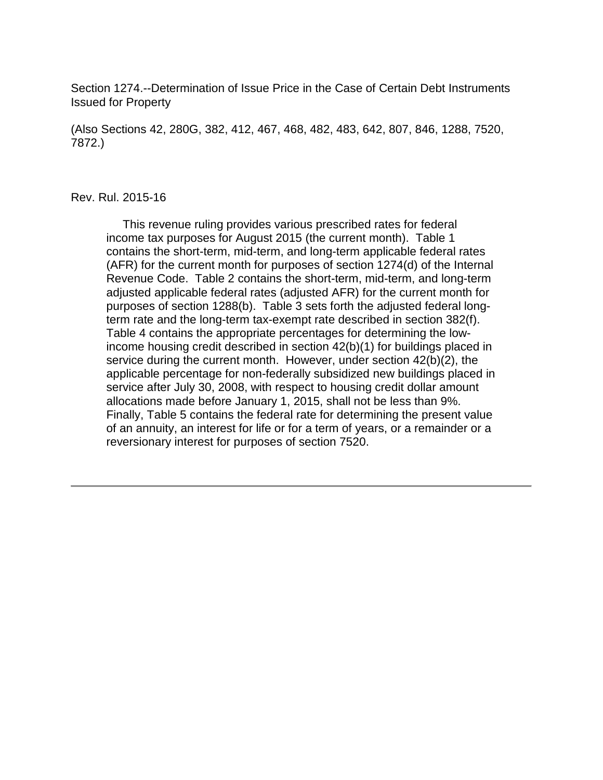Section 1274.--Determination of Issue Price in the Case of Certain Debt Instruments Issued for Property

(Also Sections 42, 280G, 382, 412, 467, 468, 482, 483, 642, 807, 846, 1288, 7520, 7872.)

#### Rev. Rul. 2015-16

 This revenue ruling provides various prescribed rates for federal income tax purposes for August 2015 (the current month). Table 1 contains the short-term, mid-term, and long-term applicable federal rates (AFR) for the current month for purposes of section 1274(d) of the Internal Revenue Code. Table 2 contains the short-term, mid-term, and long-term adjusted applicable federal rates (adjusted AFR) for the current month for purposes of section 1288(b). Table 3 sets forth the adjusted federal longterm rate and the long-term tax-exempt rate described in section 382(f). Table 4 contains the appropriate percentages for determining the lowincome housing credit described in section 42(b)(1) for buildings placed in service during the current month. However, under section 42(b)(2), the applicable percentage for non-federally subsidized new buildings placed in service after July 30, 2008, with respect to housing credit dollar amount allocations made before January 1, 2015, shall not be less than 9%. Finally, Table 5 contains the federal rate for determining the present value of an annuity, an interest for life or for a term of years, or a remainder or a reversionary interest for purposes of section 7520.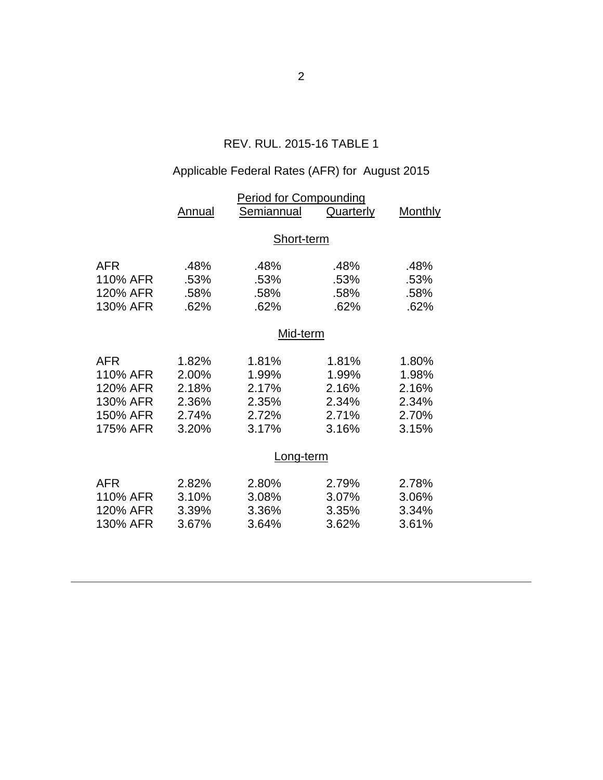## REV. RUL. 2015-16 TABLE 1

# Applicable Federal Rates (AFR) for August 2015

|            | <b>Period for Compounding</b> |            |                  |                |  |  |
|------------|-------------------------------|------------|------------------|----------------|--|--|
|            | <b>Annual</b>                 | Semiannual | <b>Quarterly</b> | <b>Monthly</b> |  |  |
|            |                               |            |                  |                |  |  |
|            | Short-term                    |            |                  |                |  |  |
| <b>AFR</b> | .48%                          | .48%       | .48%             | .48%           |  |  |
| 110% AFR   | .53%                          | .53%       | .53%             | .53%           |  |  |
| 120% AFR   | .58%                          | .58%       | .58%             | .58%           |  |  |
| 130% AFR   | .62%                          | .62%       | .62%             | .62%           |  |  |
|            |                               |            |                  |                |  |  |
|            | Mid-term                      |            |                  |                |  |  |
| <b>AFR</b> | 1.82%                         | 1.81%      | 1.81%            | 1.80%          |  |  |
| 110% AFR   | 2.00%                         | 1.99%      | 1.99%            | 1.98%          |  |  |
| 120% AFR   | 2.18%                         | 2.17%      | 2.16%            | 2.16%          |  |  |
| 130% AFR   | 2.36%                         | 2.35%      | 2.34%            | 2.34%          |  |  |
| 150% AFR   | 2.74%                         | 2.72%      | 2.71%            | 2.70%          |  |  |
| 175% AFR   | 3.20%                         | 3.17%      | 3.16%            | 3.15%          |  |  |
|            |                               |            |                  |                |  |  |
|            |                               | Long-term  |                  |                |  |  |
| <b>AFR</b> | 2.82%                         | 2.80%      | 2.79%            | 2.78%          |  |  |
| 110% AFR   | 3.10%                         | 3.08%      | 3.07%            | 3.06%          |  |  |
| 120% AFR   | 3.39%                         | 3.36%      | 3.35%            | 3.34%          |  |  |
| 130% AFR   | 3.67%                         | 3.64%      | 3.62%            | 3.61%          |  |  |
|            |                               |            |                  |                |  |  |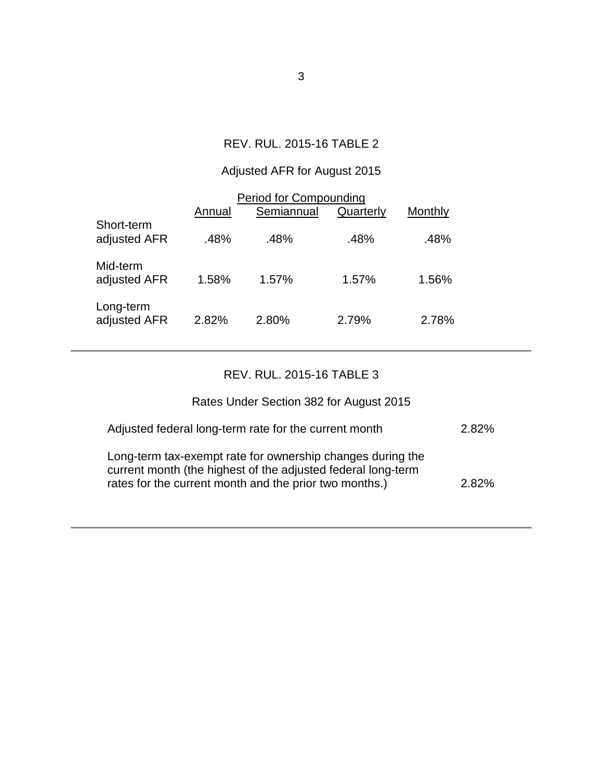## REV. RUL. 2015-16 TABLE 2

# Adjusted AFR for August 2015

| <b>Period for Compounding</b> |        |            |           |         |  |  |  |
|-------------------------------|--------|------------|-----------|---------|--|--|--|
|                               | Annual | Semiannual | Quarterly | Monthly |  |  |  |
| Short-term<br>adjusted AFR    | .48%   | .48%       | .48%      | .48%    |  |  |  |
| Mid-term<br>adjusted AFR      | 1.58%  | 1.57%      | 1.57%     | 1.56%   |  |  |  |
| Long-term<br>adjusted AFR     | 2.82%  | 2.80%      | 2.79%     | 2.78%   |  |  |  |

### REV. RUL. 2015-16 TABLE 3

### Rates Under Section 382 for August 2015

| Adjusted federal long-term rate for the current month                                                                                                                                | 2.82% |
|--------------------------------------------------------------------------------------------------------------------------------------------------------------------------------------|-------|
| Long-term tax-exempt rate for ownership changes during the<br>current month (the highest of the adjusted federal long-term<br>rates for the current month and the prior two months.) | 2.82% |